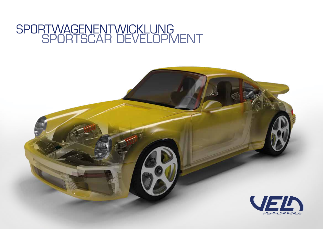### SPORTSCAR DEVELOPMENT SPORTWAGENENTWICKLUNG

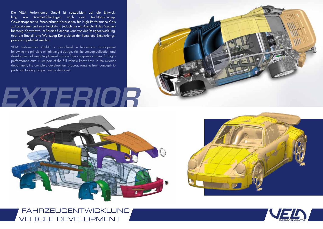Die VELA Performance GmbH ist spezialisiert auf die Entwicklung von Komplettfahrzeugen nach dem Leichtbau-Prinzip. Gewichtsoptimierte Faserverbund-Karosserien für High-Performance-Cars zu konzipieren und zu entwickeln ist jedoch nur ein Ausschnitt des Gesamtfahrzeug-Knowhows. Im Bereich Exterieur kann von der Designentwicklung, über die Bauteil- und Werkzeug-Konstruktion der komplette Entwicklungsprozess abgebildet werden.

VELA Performance GmbH is specialized in full-vehicle development following the principle of lightweight design. Yet, the conceptualization and development of weight-optimized carbon fiber composite chassis for highperformance cars is just part of the full vehicle know-how. In the exterior department, the complete development process, ranging from concept- to part- and tooling design, can be delivered.

## EXTERIOR







VEHICLE DEVELOPMENT FAHRZEUGENTWICKLUNG

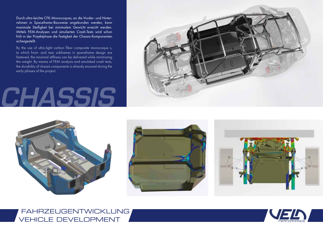Durch ultra-leichte CFK-Monocoques, an die Vorder- und Hinterrahmen in Spaceframe-Bauweise angebunden werden, kann maximale Steifigkeit bei minimalem Gewicht erreicht werden. Mittels FEM-Analysen und simulierten Crash-Tests wird schon früh in der Projektphase die Festigkeit der Chassis-Komponenten sichergestellt.

By the use of ultra-light carbon fiber composite monocoque s, to which front- and rear subframes in spaceframe design are fastened, the maximal stiffness can be delivered while minimizing the weight. By means of FEM analysis and simulated crash tests, the durability of chassis components is already ensured during the early phases of the project.

### CHASSIS











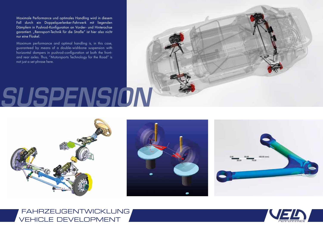Maximale Performance und optimales Handling wird in diesem Fall durch ein Doppelquerlenker-Fahrwerk mit liegenden Dämpfern in Pushrod-Konfiguration an Vorder- und Hinterachse garantiert. "Rennsport-Technik für die Straße" ist hier also nicht nur eine Floskel.

Maximum performance and optimal handling is, in this case, guaranteed by means of a double-wishbone suspension with horizontal dampers in pushrod-configuration at both the frontand rear axles. Thus, "Motorsports Technology for the Road" is not just a set phrase here.

# SUSPENSION









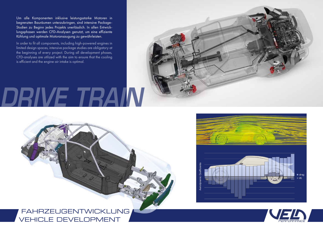Um alle Komponenten inklusive leistungsstarke Motoren in begrenzten Bauräumen unterzubringen, sind intensive Package-Studien zu Beginn jedes Projekts unerlässlich. In allen Entwicklungsphasen werden CFD-Analysen genutzt, um eine effiziente Kühlung und optimale Motoransaugung zu gewährleisten.

In order to fit all components, including high-powered engines in limited design spaces, intensive package studies are obligatory at the beginning of every project. During all development phases, CFD-analyses are utilized with the aim to ensure that the cooling is efficient and the engine air intake is optimal.

# DRIVE TRAIN





VEHICLE DEVELOPMENT FAHRZEUGENTWICKLUNG